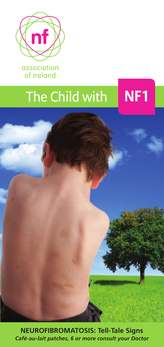

association of Ireland

# The Child with **NF1**

**NEUROFIBROMATOSIS: Tell-Tale Signs** *Café-au-lait patches, 6 or more consult your Doctor*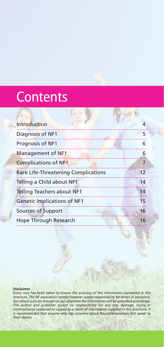## **Contents**

| Introduction                               | 4  |
|--------------------------------------------|----|
| Diagnosis of NF1                           | 5  |
| Prognosis of NF1                           | 6  |
| Management of NF1                          | 6  |
| <b>Complications of NF1</b>                | 7  |
| <b>Rare Life-Threatening Complications</b> | 12 |
| Telling a Child about NF1                  | 14 |
| <b>Telling Teachers about NF1</b>          | 14 |
| <b>Genetic Implications of NF1</b>         | 15 |
| Sources of Support                         | 16 |
| Hope Through Research                      | 16 |

#### **Disclaimer**

*Every care has been taken to ensure the accuracy of the information contained in this brochure. The NF association cannot however accept responsibility for errors or omissions, but where such are brought to our attention the information will be amended accordingly.* The author and publisher accept no responsibility for any loss, damage, injury or<br>inconvenience sustained or caused as a result of information supplied in this brochure. It *is recommended that anyone who has concerns about Neurofibromatosis first speak to their doctor.*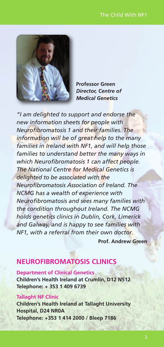

**Professor Green** *Director, Centre of Medical Genetics*

*"I am delighted to support and endorse the new information sheets for people with Neurofibromatosis 1 and their families. The information will be of great help to the many families in Ireland with NF1, and will help those families to understand better the many ways in which Neurofibromatosis 1 can affect people. The National Centre for Medical Genetics is delighted to be associated with the Neurofibromatosis Association of Ireland. The NCMG has a wealth of experience with Neurofibromatosis and sees many families with the condition throughout Ireland. The NCMG holds genetics clinics in Dublin, Cork, Limerick and Galway, and is happy to see families with NF1, with a referral from their own doctor.*

**Prof. Andrew Green**

### **NEUROFIBROMATOSIS CLINICS**

**Department of Clinical Genetics Children's Health Ireland at Crumlin, D12 N512 Telephone: + 353 1 409 6739**

#### **Tallaght NF Clinic**

**Children's Health Ireland at Tallaght University Hospital, D24 NR0A Telephone: +353 1 414 2000 / Bleep 7186**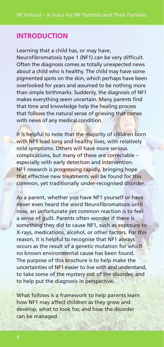#### **INTRODUCTION**

Learning that a child has, or may have,

Neurofibromatosis type 1 (NF1) can be very difficult. Often the diagnosis comes as totally unexpected news about a child who is healthy. The child may have some pigmented spots on the skin, which perhaps have been overlooked for years and assumed to be nothing more than simple birthmarks. Suddenly, the diagnosis of NF1 makes everything seem uncertain. Many parents find that time and knowledge help the healing process that follows the natural sense of grieving that comes with news of any medical condition.

It is helpful to note that the majority of children born with NF1 lead long and healthy lives, with relatively mild symptoms. Others will have more serious complications, but many of these are correctable – especially with early detection and intervention. NF1 research is progressing rapidly, bringing hope that effective new treatments will be found for this common, yet traditionally under-recognised disorder.

As a parent, whether you have NF1 yourself or have never even heard the word Neurofibromatosis until now, an unfortunate yet common reaction is to feel a sense of guilt. Parents often wonder if there is something they did to cause NF1, such as exposure to X-rays, medications, alcohol, or other factors. For this reason, it is helpful to recognise that NF1 always occurs as the result of a genetic mutation for which no known environmental cause has been found. The purpose of this brochure is to help make the uncertainties of NF1 easier to live with and understand, to take some of the mystery out of the disorder, and to help put the diagnosis in perspective.

What follows is a framework to help parents learn how NF1 may affect children as they grow and develop, what to look for, and how the disorder can be managed.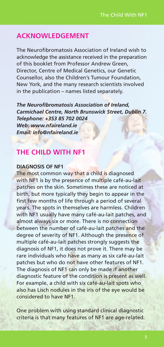#### **ACKNOWLEDGEMENT**

The Neurofibromatosis Association of Ireland wish to acknowledge the assistance received in the preparation of this booklet from Professor Andrew Green, Director, Centre of Medical Genetics, our Genetic Counsellor, also the Children's Tumour Foundation, New York, and the many research scientists involved in the publication – names listed separately.

*The Neurofibromatosis Association of Ireland, Carmichael Centre, North Brunswick Street, Dublin 7. Telephone: +353 85 702 0024 Web: www.nfaireland.ie Email: info@nfaireland.ie*

#### **THE CHILD WITH NF1**

#### **DIAGNOSIS OF NF1**

The most common way that a child is diagnosed with NF1 is by the presence of multiple café-au-lait patches on the skin. Sometimes these are noticed at birth, but more typically they begin to appear in the first few months of life through a period of several years. The spots in themselves are harmless. Children with NF1 usually have many café-au-lait patches, and almost always six or more. There is no connection between the number of café-au-lait patches and the degree of severity of NF1. Although the presence of multiple café-au-lait patches strongly suggests the diagnosis of NF1, it does not prove it. There may be rare individuals who have as many as six café-au-lait patches but who do not have other features of NF1. The diagnosis of NF1 can only be made if another diagnostic feature of the condition is present as well. For example, a child with six café-au-lait spots who also has Lisch nodules in the iris of the eye would be considered to have NF1.

One problem with using standard clinical diagnostic criteria is that many features of NF1 are age-related.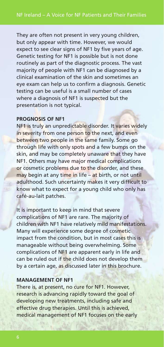They are often not present in very young children, but only appear with time. However, we would expect to see clear signs of NF1 by five years of age. Genetic testing for NF1 is possible but is not done routinely as part of the diagnostic process. The vast majority of people with NF1 can be diagnosed by a clinical examination of the skin and sometimes an eye exam can help us to confirm a diagnosis. Genetic testing can be useful is a small number of cases where a diagnosis of NF1 is suspected but the presentation is not typical.

#### **PROGNOSIS OF NF1**

NF1 is truly an unpredictable disorder. It varies widely in severity from one person to the next, and even between two people in the same family. Some go through life with only spots and a few bumps on the skin, and may be completely unaware that they have NF1. Others may have major medical complications or cosmetic problems due to the disorder, and these may begin at any time in life – at birth, or not until adulthood. Such uncertainty makes it very difficult to know what to expect for a young child who only has café-au-lait patches.

It is important to keep in mind that severe complications of NF1 are rare. The majority of children with NF1 have relatively mild manifestations. Many will experience some degree of cosmetic impact from the condition, but in most cases this is manageable without being overwhelming. Some complications of NF1 are apparent early in life and can be ruled out if the child does not develop them by a certain age, as discussed later in this brochure.

#### **MANAGEMENT OF NF1**

There is, at present, no cure for NF1. However, research is advancing rapidly toward the goal of developing new treatments, including safe and effective drug therapies. Until this is achieved, medical management of NF1 focuses on the early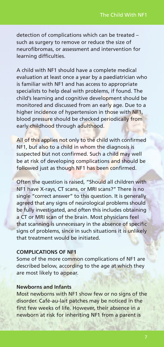detection of complications which can be treated – such as surgery to remove or reduce the size of neurofibromas, or assessment and intervention for learning difficulties.

A child with NF1 should have a complete medical evaluation at least once a year by a paediatrician who is familiar with NF1 and has access to appropriate specialists to help deal with problems, if found. The child's learning and cognitive development should be monitored and discussed from an early age. Due to a higher incidence of hypertension in those with NF1, blood pressure should be checked periodically from early childhood through adulthood.

All of this applies not only to the child with confirmed NF1, but also to a child in whom the diagnosis is suspected but not confirmed. Such a child may well be at risk of developing complications and should be followed just as though NF1 has been confirmed.

Often the question is raised, "Should all children with NF1 have X-rays, CT scans, or MRI scans?" There is no single "correct answer" to this question. It is generally agreed that any signs of neurological problems should be fully investigated, and often this includes obtaining a CT or MRI scan of the brain. Most physicians feel that scanning is unnecessary in the absence of specific signs of problems, since in such situations it is unlikely that treatment would be initiated.

#### **COMPLICATIONS OF NF1**

Some of the more common complications of NF1 are described below, according to the age at which they are most likely to appear.

#### **Newborns and Infants**

Most newborns with NF1 show few or no signs of the disorder. Café-au-lait patches may be noticed in the first few weeks of life. However, their absence in a newborn at risk for inheriting NF1 from a parent is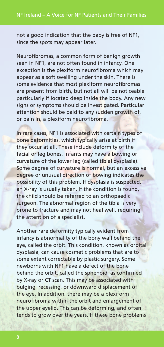not a good indication that the baby is free of NF1, since the spots may appear later.

Neurofibromas, a common form of benign growth seen in NF1, are not often found in infancy. One exception is the plexiform neurofibroma which may appear as a soft swelling under the skin. There is some evidence that most plexiform neurofibromas are present from birth, but not all will be noticeable particularly if located deep inside the body. Any new signs or symptoms should be investigated. Particular attention should be paid to any sudden growth of, or pain in, a plexiform neurofibroma.

In rare cases, NF1 is associated with certain types of bone deformities, which typically arise at birth if they occur at all. These include deformity of the facial or leg bones. Infants may have a bowing or curvature of the lower leg (called tibial dysplasia). Some degree of curvature is normal, but an excessive degree or unusual direction of bowing indicates the possibility of this problem. If dysplasia is suspected, an X-ray is usually taken. If the condition is found, the child should be referred to an orthopaedic surgeon. The abnormal region of the tibia is very prone to fracture and may not heal well, requiring the attention of a specialist.

Another rare deformity typically evident from infancy is abnormality of the bony wall behind the eye, called the orbit. This condition, known as orbital dysplasia, can cause cosmetic problems that are to some extent correctable by plastic surgery. Some newborns with NF1 have a defect of the bone behind the orbit, called the sphenoid, as confirmed by X-ray or CT scan. This may be associated with bulging, recessing, or downward displacement of the eye. In addition, there may be a plexiform neurofibroma within the orbit and enlargement of the upper eyelid. This can be deforming, and often tends to grow over the years. If these bone problems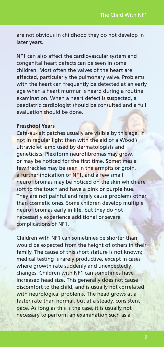are not obvious in childhood they do not develop in later years.

NF1 can also affect the cardiovascular system and congenital heart defects can be seen in some children. Most often the valves of the heart are affected, particularly the pulmonary valve. Problems with the heart can frequently be detected at an early age when a heart murmur is heard during a routine examination. When a heart defect is suspected, a paediatric cardiologist should be consulted and a full evaluation should be done.

#### **Preschool Years**

Café-au-lait patches usually are visible by this age, if not in regular light then with the aid of a Wood's ultraviolet lamp used by dermatologists and geneticists. Plexiform neurofibromas may grow, or may be noticed for the first time. Sometimes a few freckles may be seen in the armpits or groin, a further indication of NF1, and a few small neurofibromas may be noticed on the skin which are soft to the touch and have a pink or purple hue. They are not painful and rarely cause problems other than cosmetic ones. Some children develop multiple neurofibromas early in life, but they do not necessarily experience additional or severe complications of NF1.

Children with NF1 can sometimes be shorter than would be expected from the height of others in their family. The cause of this short stature is not known; medical testing is rarely productive, except in cases where growth rate suddenly and unexpectedly changes. Children with NF1 can sometimes have increased head size. This generally does not cause discomfort to the child, and is usually not correlated with neurological problems. The head grows at a faster rate than normal, but at a steady, consistent pace. As long as this is the case, it is usually not necessary to perform an examination such as a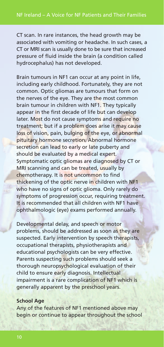CT scan. In rare instances, the head growth may be associated with vomiting or headache. In such cases, a CT or MRI scan is usually done to be sure that increased pressure of fluid inside the brain (a condition called hydrocephalus) has not developed.

Brain tumours in NF1 can occur at any point in life, including early childhood. Fortunately, they are not common. Optic gliomas are tumours that form on the nerves of the eye. They are the most common brain tumour in children with NF1. They typically appear in the first decade of life but can develop later. Most do not cause symptoms and require no treatment; but if a problem does arise it may cause loss of vision, pain, bulging of the eye, or abnormal pituitary hormone secretion. Abnormal hormone secretion can lead to early or late puberty and should be evaluated by a medical expert. Symptomatic optic gliomas are diagnosed by CT or MRI scanning and can be treated, usually by chemotherapy. It is not uncommon to find thickening of the optic nerve in children with NF1 who have no signs of optic glioma. Only rarely do symptoms of progression occur, requiring treatment. It is recommended that all children with NF1 have ophthalmologic (eye) exams performed annually.

Developmental delay, and speech or motor problems, should be addressed as soon as they are suspected. Early intervention by speech therapists, occupational therapists, physiotherapists and educational psychologists can be very effective. Parents suspecting such problems should seek a thorough neuropsychological evaluation of their child to ensure early diagnosis. Intellectual impairment is a rare complication of NF1 which is generally apparent by the preschool years.

#### **School Age**

Any of the features of NF1 mentioned above may begin or continue to appear throughout the school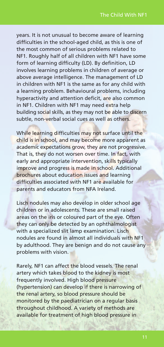years. It is not unusual to become aware of learning difficulties in the school-aged child, as this is one of the most common of serious problems related to NF1. Roughly half of all children with NF1 have some form of learning difficulty (LD). By definition, LD involves learning problems in children of average or above average intelligence. The management of LD in children with NF1 is the same as for any child with a learning problem. Behavioural problems, including hyperactivity and attention deficit, are also common in NF1. Children with NF1 may need extra help building social skills, as they may not be able to discern subtle, non-verbal social cues as well as others.

While learning difficulties may not surface until the child is in school, and may become more apparent as academic expectations grow, they are not progressive. That is, they do not worsen over time. In fact, with early and appropriate intervention, skills typically improve and progress is made in school. Additional brochures about education issues and learning difficulties associated with NF1 are available for parents and educators from NFA Ireland.

Lisch nodules may also develop in older school age children or in adolescents. These are small raised areas on the iris or coloured part of the eye. Often they can only be detected by an ophthalmologist with a specialized slit lamp examination. Lisch nodules are found in almost all individuals with NF1 by adulthood. They are benign and do not cause any problems with vision.

Rarely, NF1 can affect the blood vessels. The renal artery which takes blood to the kidney is most frequently involved. High blood pressure (hypertension) can develop if there is narrowing of the renal artery, so blood pressure should be monitored by the paediatrician on a regular basis throughout childhood. A variety of methods are available for treatment of high blood pressure in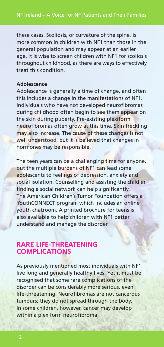these cases. Scoliosis, or curvature of the spine, is more common in children with NF1 than those in the general population and may appear at an earlier age. It is wise to screen children with NF1 for scoliosis throughout childhood, as there are ways to effectively treat this condition.

#### **Adolescence**

Adolescence is generally a time of change, and often this includes a change in the manifestations of NF1. Individuals who have not developed neurofibromas during childhood often begin to see them appear on the skin during puberty. Pre-existing plexiform neurofibromas often grow at this time. Skin freckling may also increase. The cause of these changes is not well understood, but it is believed that changes in hormones may be responsible.

The teen years can be a challenging time for anyone, but the multiple burdens of NF1 can lead some adolescents to feelings of depression, anxiety and social isolation. Counselling and assisting the child in finding a social network can help significantly. The American Children's Tumor Foundation offers a YouthCONNECT program which includes an online youth chatroom. A printed brochure for teens is also available to help children with NF1 better understand and manage the disorder.

#### **RARE LIFE-THREATENING COMPLICATIONS**

As previously mentioned most individuals with NF1 live long and generally healthy lives. Yet it must be recognised that some rare complications of the disorder can be considerably more serious, even life-threatening. Neurofibromas are not cancerous tumours; they do not spread through the body. In some children, however, cancer may develop within a plexiform neurofibroma.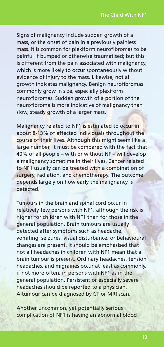Signs of malignancy include sudden growth of a mass, or the onset of pain in a previously painless mass. It is common for plexiform neurofibromas to be painful if bumped or otherwise traumatised; but this is different from the pain associated with malignancy, which is more likely to occur spontaneously without evidence of injury to the mass. Likewise, not all growth indicates malignancy. Benign neurofibromas commonly grow in size, especially plexiform neurofibromas. Sudden growth of a portion of the neurofibroma is more indicative of malignancy than slow, steady growth of a larger mass.

Malignancy related to NF1 is estimated to occur in about 8-13% of affected individuals throughout the course of their lives. Although this might seem like a large number, it must be compared with the fact that 40% of all people – with or without NF – will develop a malignancy sometime in their lives. Cancer related to NF1 usually can be treated with a combination of surgery, radiation, and chemotherapy. The outcome depends largely on how early the malignancy is detected.

Tumours in the brain and spinal cord occur in relatively few persons with NF1, although the risk is higher for children with NF1 than for those in the general population. Brain tumours are usually detected after symptoms such as headache, vomiting, seizures, visual disturbance, or behavioural changes are present. It should be emphasised that not all headaches in children with NF1 mean that a brain tumour is present. Ordinary headaches, tension headaches, and migraines occur at least as commonly, if not more often, in persons with NF1 as in the general population. Persistent or especially severe headaches should be reported to a physician. A tumour can be diagnosed by CT or MRI scan.

Another uncommon, yet potentially serious complication of NF1 is having an abnormal blood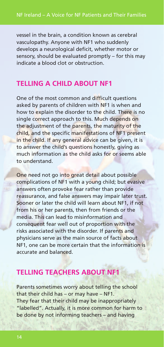vessel in the brain, a condition known as cerebral vasculopathy. Anyone with NF1 who suddenly develops a neurological deficit, whether motor or sensory, should be evaluated promptly – for this may indicate a blood clot or obstruction.

#### **TELLING A CHILD ABOUT NF1**

One of the most common and difficult questions asked by parents of children with NF1 is when and how to explain the disorder to the child. There is no single correct approach to this. Much depends on the adjustment of the parents, the maturity of the child, and the specific manifestations of NF1 present in the child. If any general advice can be given, it is to answer the child's questions honestly, giving as much information as the child asks for or seems able to understand.

One need not go into great detail about possible complications of NF1 with a young child; but evasive answers often provoke fear rather than provide reassurance, and false answers may impair later trust. Sooner or later the child will learn about NF1, if not from his or her parents, then from friends or the media. This can lead to misinformation and consequent fear well out of proportion with the risks associated with the disorder. If parents and physicians serve as the main source of facts about NF1, one can be more certain that the information is accurate and balanced.

#### **TELLING TEACHERS ABOUT NF1**

Parents sometimes worry about telling the school that their child has – or may have – NF1. They fear that their child may be inappropriately "labelled". Actually, it is more common for harm to be done by not informing teachers – and having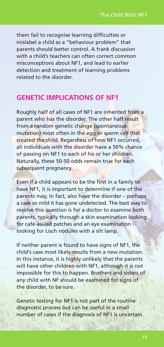them fail to recognise learning difficulties or mislabel a child as a "behaviour problem" that parents should better control. A frank discussion with a child's teachers can often correct common misconceptions about NF1, and lead to earlier detection and treatment of learning problems related to the disorder.

#### **GENETIC IMPLICATIONS OF NF1**

Roughly half of all cases of NF1 are inherited from a parent who has the disorder. The other half result from a random genetic change (spontaneous mutation) most often in the egg or sperm cell that created the child. Regardless of how NF1 occurred, all individuals with the disorder have a 50% chance of passing on NF1 to each of his or her children. Naturally, these 50-50 odds remain true for each subsequent pregnancy.

Even if a child appears to be the first in a family to have NF1, it is important to determine if one of the parents may, in fact, also have the disorder – perhaps a case so mild it has gone undetected. The best way to resolve this question is for a doctor to examine both parents, typically through a skin examination looking for café-au-lait patches and an eye examination looking for Lisch nodules with a slit lamp.

If neither parent is found to have signs of NF1, the child's case most likely results from a new mutation. In this instance, it is highly unlikely that the parents will have other children with NF1, although it is not impossible for this to happen. Brothers and sisters of any child with NF should be examined for signs of the disorder, to be sure.

Genetic testing for NF1 is not part of the routine diagnostic process but can be useful in a small number of cases if the diagnosis of NF1 is uncertain.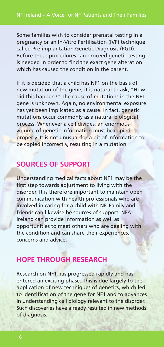Some families wish to consider prenatal testing in a pregnancy or an In-Vitro Fertilisation (IVF) technique called Pre-implantation Genetic Diagnosis (PGD). Before these procedures can proceed genetic testing is needed in order to find the exact gene alteration which has caused the condition in the parent.

If it is decided that a child has NF1 on the basis of new mutation of the gene, it is natural to ask, "How did this happen?" The cause of mutations in the NF1 gene is unknown. Again, no environmental exposure has yet been implicated as a cause. In fact, genetic mutations occur commonly as a natural biological process. Whenever a cell divides, an enormous volume of genetic information must be copied properly. It is not unusual for a bit of information to be copied incorrectly, resulting in a mutation.

### **SOURCES OF SUPPORT**

Understanding medical facts about NF1 may be the first step towards adjustment to living with the disorder. It is therefore important to maintain open communication with health professionals who are involved in caring for a child with NF. Family and friends can likewise be sources of support. NFA Ireland can provide information as well as opportunities to meet others who are dealing with the condition and can share their experiences, concerns and advice.

#### **HOPE THROUGH RESEARCH**

Research on NF1 has progressed rapidly and has entered an exciting phase. This is due largely to the application of new techniques of genetics, which led to identification of the gene for NF1 and to advances in understanding cell biology relevant to the disorder. Such discoveries have already resulted in new methods of diagnosis.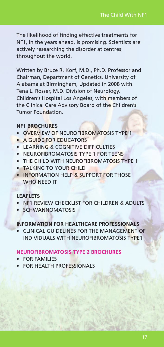The likelihood of finding effective treatments for NF1, in the years ahead, is promising. Scientists are actively researching the disorder at centres throughout the world.

Written by Bruce R. Korf, M.D., Ph.D. Professor and Chairman, Department of Genetics, University of Alabama at Birmingham, Updated in 2008 with Tena L. Rosser, M.D. Division of Neurology, Children's Hospital Los Angeles, with members of the Clinical Care Advisory Board of the Children's Tumor Foundation.

#### **NF1 BROCHURES**

- OVERVIEW OF NEUROFIBROMATOSIS TYPE 1
- A GUIDE FOR EDUCATORS
- LEARNING & COGNITIVE DIFFICULTIES
- NEUROFIBROMATOSIS TYPE 1 FOR TEENS
- THE CHILD WITH NEUROFIBROMATOSIS TYPE 1
- **TALKING TO YOUR CHILD**
- INFORMATION HELP & SUPPORT FOR THOSE WHO NEED IT

#### **LEAFLETS**

- NF1 REVIEW CHECKLIST FOR CHILDREN & ADULTS
- **SCHWANNOMATOSIS**

#### **INFORMATION FOR HEALTHCARE PROFESSIONALS**

• CLINICAL GUIDELINES FOR THE MANAGEMENT OF INDIVIDUALS WITH NEUROFIBROMATOSIS TYPE1

#### **NEUROFIBROMATOSIS TYPE 2 BROCHURES**

- FOR FAMILIES
- **FOR HEALTH PROFESSIONALS**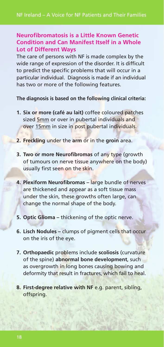#### **Neurofibromatosis is a Little Known Genetic Condition and Can Manifest Itself in a Whole Lot of Different Ways**

The care of persons with NF is made complex by the wide range of expression of the disorder. It is difficult to predict the specific problems that will occur in a particular individual. Diagnosis is made if an individual has two or more of the following features.

**The diagnosis is based on the following clinical criteria:**

- **1. Six or more (café au lait)** coffee coloured patches sized 5mm or over in pubertal individuals and over 15mm in size in post pubertal individuals.
- **2. Freckling** under the **arm** or in the **groin** area.
- **3. Two or more Neurofibromas** of any type (growth of tumours on nerve tissue anywhere on the body) usually first seen on the skin.
- **4. Plexiform Neurofibromas –** large bundle of nerves are thickened and appear as a soft tissue mass under the skin, these growths often large, can change the normal shape of the body.
- **5. Optic Glioma –** thickening of the optic nerve.
- **6. Lisch Nodules –** clumps of pigment cells that occur on the iris of the eye.
- **7. Orthopaedic** problems include **scoliosis** (curvature of the spine) **abnormal bone development**, such as overgrowth in long bones causing bowing and deformity that result in fractures, which fail to heal.
- **8. First-degree relative with NF** e.g. parent, sibling, offspring.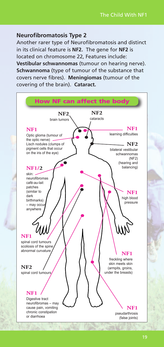#### **Neurofibromatosis Type 2**

Another rarer type of Neurofibromatosis and distinct in its clinical feature is **NF2.** The gene for **NF2** is located on chromosome 22, Features include: **Vestibular schwannomas** (tumour on hearing nerve). **Schwannoma** (type of tumour of the substance that covers nerve fibres). **Meningiomas** (tumour of the covering of the brain). **Cataract.**